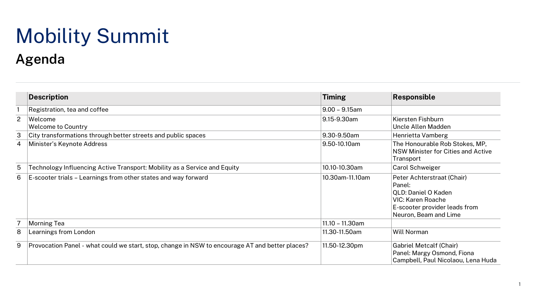## Mobility Summit **Agenda**

|   | <b>Description</b>                                                                              | <b>Timing</b>    | Responsible                                                                                                                                |
|---|-------------------------------------------------------------------------------------------------|------------------|--------------------------------------------------------------------------------------------------------------------------------------------|
|   | Registration, tea and coffee                                                                    | $9.00 - 9.15$ am |                                                                                                                                            |
| 2 | Welcome<br><b>Welcome to Country</b>                                                            | 9.15-9.30am      | Kiersten Fishburn<br>Uncle Allen Madden                                                                                                    |
| 3 | City transformations through better streets and public spaces                                   | 9.30-9.50am      | Henrietta Vamberg                                                                                                                          |
| 4 | Minister's Keynote Address                                                                      | 9.50-10.10am     | The Honourable Rob Stokes, MP,<br>NSW Minister for Cities and Active<br>Transport                                                          |
| 5 | Technology Influencing Active Transport: Mobility as a Service and Equity                       | 10.10-10.30am    | Carol Schweiger                                                                                                                            |
| 6 | E-scooter trials - Learnings from other states and way forward                                  | 10.30am-11.10am  | Peter Achterstraat (Chair)<br>Panel:<br>QLD: Daniel O Kaden<br>VIC: Karen Roache<br>E-scooter provider leads from<br>Neuron, Beam and Lime |
|   | Morning Tea                                                                                     | 11.10 - 11.30am  |                                                                                                                                            |
| 8 | Learnings from London                                                                           | 11.30-11.50am    | <b>Will Norman</b>                                                                                                                         |
| 9 | Provocation Panel - what could we start, stop, change in NSW to encourage AT and better places? | 11.50-12.30pm    | <b>Gabriel Metcalf (Chair)</b><br>Panel: Margy Osmond, Fiona<br>Campbell, Paul Nicolaou, Lena Huda                                         |